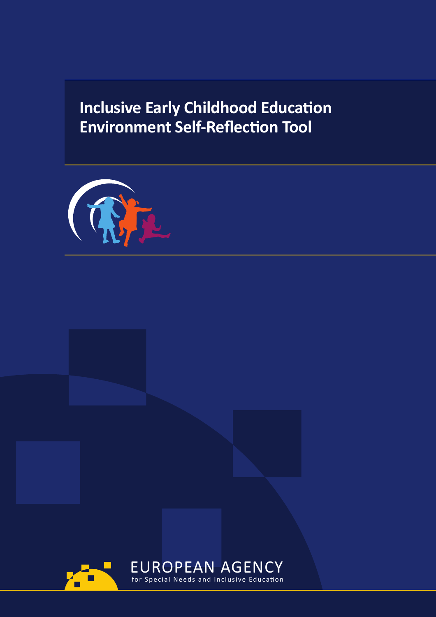# **Inclusive Early Childhood Education Environment Self-Reflection Tool**

EUROPEAN AGENCY for Special Needs and Inclusive Education



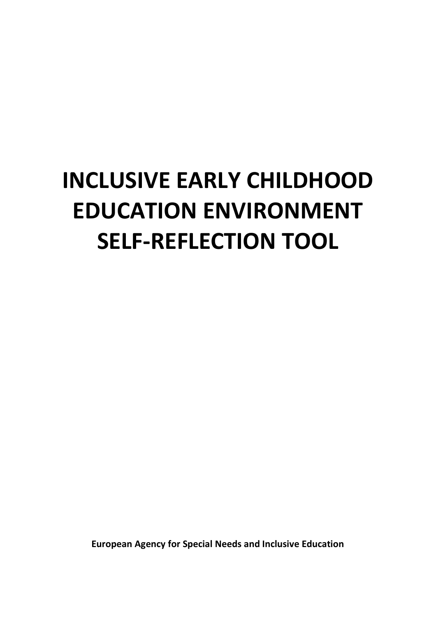# **INCLUSIVE EARLY CHILDHOOD EDUCATION ENVIRONMENT SELF-REFLECTION TOOL**

**European Agency for Special Needs and Inclusive Education**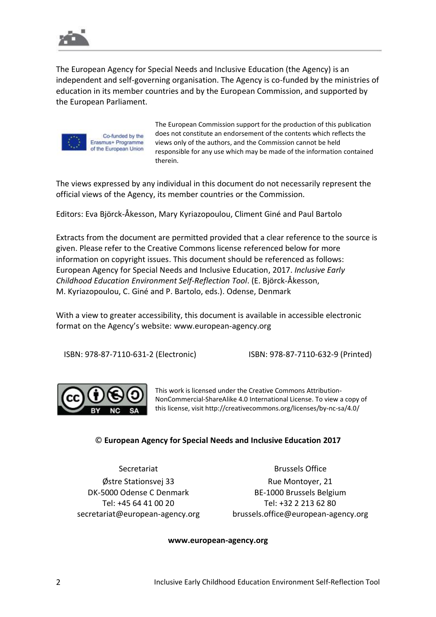

The European Agency for Special Needs and Inclusive Education (the Agency) is an independent and self-governing organisation. The Agency is co-funded by the ministries of education in its member countries and by the European Commission, and supported by the European Parliament.



The European Commission support for the production of this publication does not constitute an endorsement of the contents which reflects the views only of the authors, and the Commission cannot be held responsible for any use which may be made of the information contained therein.

The views expressed by any individual in this document do not necessarily represent the official views of the Agency, its member countries or the Commission.

Editors: Eva Björck-Åkesson, Mary Kyriazopoulou, Climent Giné and Paul Bartolo

Extracts from the document are permitted provided that a clear reference to the source is given. Please refer to the Creative Commons license referenced below for more information on copyright issues. This document should be referenced as follows: European Agency for Special Needs and Inclusive Education, 2017. *Inclusive Early Childhood Education Environment Self-Reflection Tool*. (E. Björck-Åkesson, M. Kyriazopoulou, C. Giné and P. Bartolo, eds.). Odense, Denmark

With a view to greater accessibility, this document is available in accessible electronic format on the Agency's website: [www.european-agency.org](http://www.european-agency.org/)

ISBN: 978-87-7110-631-2 (Electronic) ISBN: 978-87-7110-632-9 (Printed)



This work is licensed under the Creative Commons Attribution-NonCommercial-ShareAlike 4.0 International License. To view a copy of this license, visit http://creativecommons.org/licenses/by-nc-sa/4.0/

#### © **European Agency for Special Needs and Inclusive Education 2017**

Secretariat Østre Stationsvej 33 DK-5000 Odense C Denmark Tel: +45 64 41 00 20 [secretariat@european-agency.org](mailto:secretariat@european-agency.org)

Brussels Office Rue Montoyer, 21 BE-1000 Brussels Belgium Tel: +32 2 213 62 80 [brussels.office@european-agency.org](mailto:brussels.office@european-agency.org)

**[www.european-agency.org](http://www.european-agency.org/)**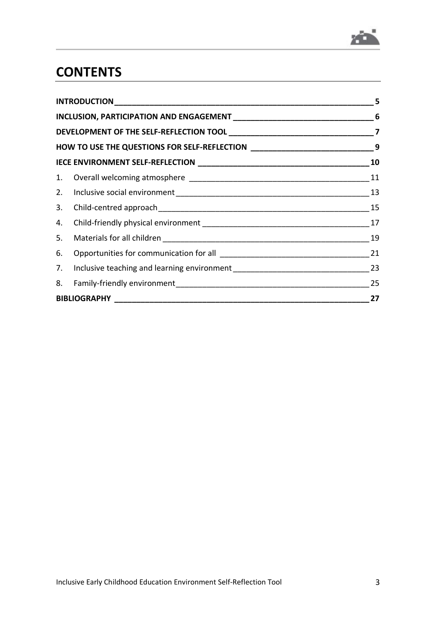

## **CONTENTS**

|                                                                                                                |                                                                                  | 5  |
|----------------------------------------------------------------------------------------------------------------|----------------------------------------------------------------------------------|----|
|                                                                                                                |                                                                                  | 6  |
|                                                                                                                |                                                                                  |    |
|                                                                                                                | HOW TO USE THE QUESTIONS FOR SELF-REFLECTION __________________________________9 |    |
|                                                                                                                |                                                                                  | 10 |
|                                                                                                                |                                                                                  | 11 |
| 2.                                                                                                             |                                                                                  | 13 |
| 3.                                                                                                             |                                                                                  | 15 |
|                                                                                                                |                                                                                  | 17 |
| 5.                                                                                                             |                                                                                  | 19 |
| 6.                                                                                                             |                                                                                  | 21 |
|                                                                                                                | 7. Inclusive teaching and learning environment _________________________________ | 23 |
| 8. Family-friendly environment entitled and the control of the state of the state of the state of the state of |                                                                                  | 25 |
|                                                                                                                |                                                                                  |    |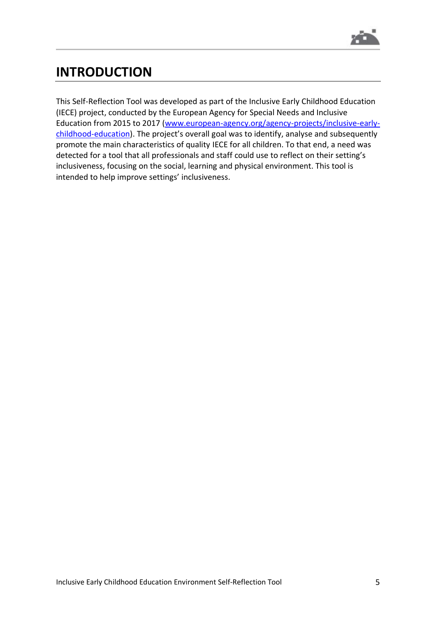

## **INTRODUCTION**

This Self-Reflection Tool was developed as part of the Inclusive Early Childhood Education (IECE) project, conducted by the European Agency for Special Needs and Inclusive Education from 2015 to 2017 [\(www.european-agency.org/agency-projects/inclusive-early](https://www.european-agency.org/agency-projects/inclusive-early-childhood-education)[childhood-education\)](https://www.european-agency.org/agency-projects/inclusive-early-childhood-education). The project's overall goal was to identify, analyse and subsequently promote the main characteristics of quality IECE for all children. To that end, a need was detected for a tool that all professionals and staff could use to reflect on their setting's inclusiveness, focusing on the social, learning and physical environment. This tool is intended to help improve settings' inclusiveness.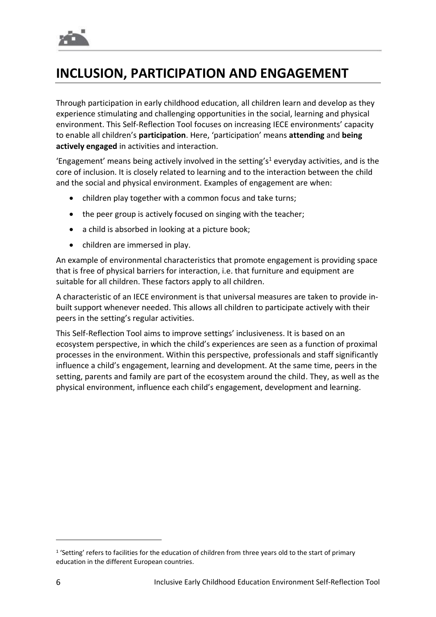

## **INCLUSION, PARTICIPATION AND ENGAGEMENT**

Through participation in early childhood education, all children learn and develop as they experience stimulating and challenging opportunities in the social, learning and physical environment. This Self-Reflection Tool focuses on increasing IECE environments' capacity to enable all children's **participation**. Here, 'participation' means **attending** and **being actively engaged** in activities and interaction.

'Engagement' means being actively involved in the setting's<sup>1</sup> everyday activities, and is the core of inclusion. It is closely related to learning and to the interaction between the child and the social and physical environment. Examples of engagement are when:

- children play together with a common focus and take turns;
- the peer group is actively focused on singing with the teacher;
- a child is absorbed in looking at a picture book;
- children are immersed in play.

An example of environmental characteristics that promote engagement is providing space that is free of physical barriers for interaction, i.e. that furniture and equipment are suitable for all children. These factors apply to all children.

A characteristic of an IECE environment is that universal measures are taken to provide inbuilt support whenever needed. This allows all children to participate actively with their peers in the setting's regular activities.

This Self-Reflection Tool aims to improve settings' inclusiveness. It is based on an ecosystem perspective, in which the child's experiences are seen as a function of proximal processes in the environment. Within this perspective, professionals and staff significantly influence a child's engagement, learning and development. At the same time, peers in the setting, parents and family are part of the ecosystem around the child. They, as well as the physical environment, influence each child's engagement, development and learning.

 $\overline{a}$ 

<sup>&</sup>lt;sup>1</sup> 'Setting' refers to facilities for the education of children from three years old to the start of primary education in the different European countries.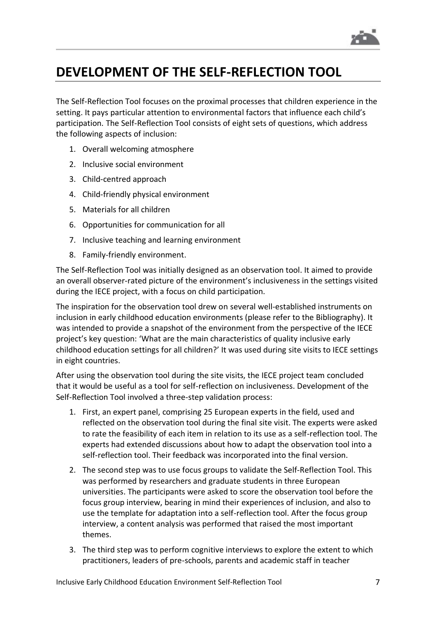

## **DEVELOPMENT OF THE SELF-REFLECTION TOOL**

The Self-Reflection Tool focuses on the proximal processes that children experience in the setting. It pays particular attention to environmental factors that influence each child's participation. The Self-Reflection Tool consists of eight sets of questions, which address the following aspects of inclusion:

- 1. Overall welcoming atmosphere
- 2. Inclusive social environment
- 3. Child-centred approach
- 4. Child-friendly physical environment
- 5. Materials for all children
- 6. Opportunities for communication for all
- 7. Inclusive teaching and learning environment
- 8. Family-friendly environment.

The Self-Reflection Tool was initially designed as an observation tool. It aimed to provide an overall observer-rated picture of the environment's inclusiveness in the settings visited during the IECE project, with a focus on child participation.

The inspiration for the observation tool drew on several well-established instruments on inclusion in early childhood education environments (please refer to the [Bibliography\)](#page-28-0). It was intended to provide a snapshot of the environment from the perspective of the IECE project's key question: 'What are the main characteristics of quality inclusive early childhood education settings for all children?' It was used during site visits to IECE settings in eight countries.

After using the observation tool during the site visits, the IECE project team concluded that it would be useful as a tool for self-reflection on inclusiveness. Development of the Self-Reflection Tool involved a three-step validation process:

- 1. First, an expert panel, comprising 25 European experts in the field, used and reflected on the observation tool during the final site visit. The experts were asked to rate the feasibility of each item in relation to its use as a self-reflection tool. The experts had extended discussions about how to adapt the observation tool into a self-reflection tool. Their feedback was incorporated into the final version.
- 2. The second step was to use focus groups to validate the Self-Reflection Tool. This was performed by researchers and graduate students in three European universities. The participants were asked to score the observation tool before the focus group interview, bearing in mind their experiences of inclusion, and also to use the template for adaptation into a self-reflection tool. After the focus group interview, a content analysis was performed that raised the most important themes.
- 3. The third step was to perform cognitive interviews to explore the extent to which practitioners, leaders of pre-schools, parents and academic staff in teacher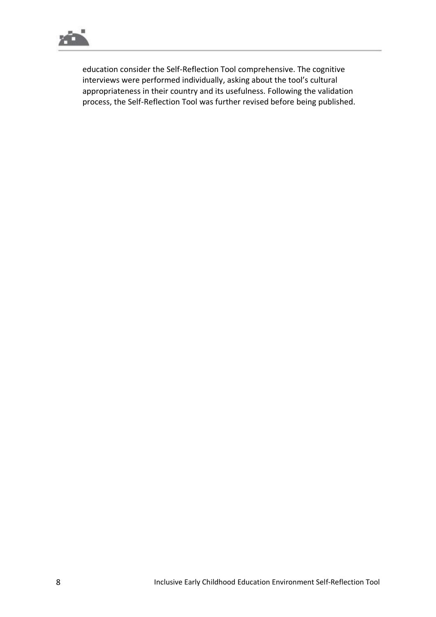

education consider the Self-Reflection Tool comprehensive. The cognitive interviews were performed individually, asking about the tool's cultural appropriateness in their country and its usefulness. Following the validation process, the Self-Reflection Tool was further revised before being published.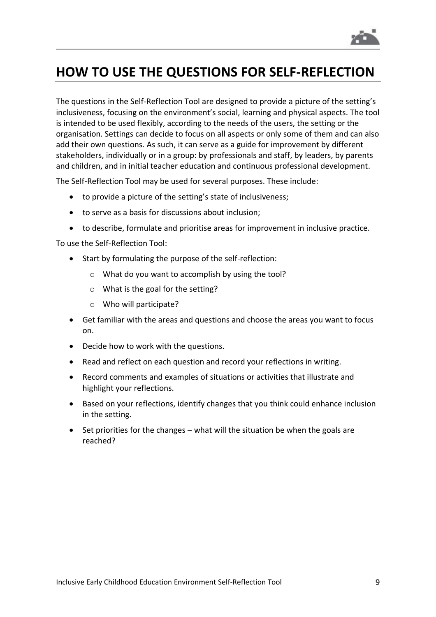

## **HOW TO USE THE QUESTIONS FOR SELF-REFLECTION**

The questions in the Self-Reflection Tool are designed to provide a picture of the setting's inclusiveness, focusing on the environment's social, learning and physical aspects. The tool is intended to be used flexibly, according to the needs of the users, the setting or the organisation. Settings can decide to focus on all aspects or only some of them and can also add their own questions. As such, it can serve as a guide for improvement by different stakeholders, individually or in a group: by professionals and staff, by leaders, by parents and children, and in initial teacher education and continuous professional development.

The Self-Reflection Tool may be used for several purposes. These include:

- to provide a picture of the setting's state of inclusiveness;
- to serve as a basis for discussions about inclusion;
- to describe, formulate and prioritise areas for improvement in inclusive practice.

To use the Self-Reflection Tool:

- Start by formulating the purpose of the self-reflection:
	- o What do you want to accomplish by using the tool?
	- o What is the goal for the setting?
	- o Who will participate?
- Get familiar with the areas and questions and choose the areas you want to focus on.
- Decide how to work with the questions.
- Read and reflect on each question and record your reflections in writing.
- Record comments and examples of situations or activities that illustrate and highlight your reflections.
- Based on your reflections, identify changes that you think could enhance inclusion in the setting.
- Set priorities for the changes what will the situation be when the goals are reached?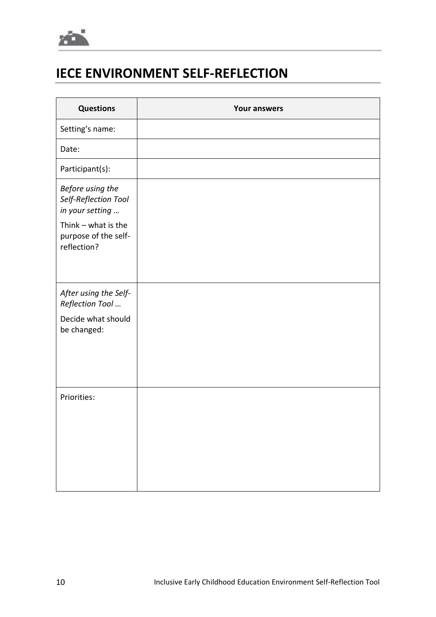

## **IECE ENVIRONMENT SELF-REFLECTION**

| <b>Questions</b>                                             | <b>Your answers</b> |
|--------------------------------------------------------------|---------------------|
| Setting's name:                                              |                     |
| Date:                                                        |                     |
| Participant(s):                                              |                     |
| Before using the<br>Self-Reflection Tool<br>in your setting  |                     |
| Think $-$ what is the<br>purpose of the self-<br>reflection? |                     |
| After using the Self-<br>Reflection Tool                     |                     |
| Decide what should<br>be changed:                            |                     |
| Priorities:                                                  |                     |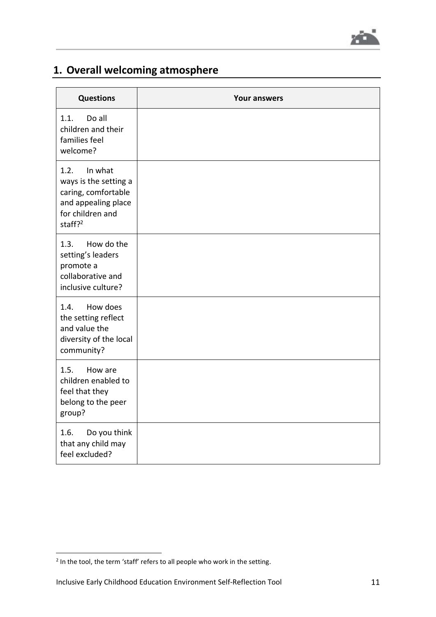

#### **1. Overall welcoming atmosphere**

| <b>Questions</b>                                                                                                                  | <b>Your answers</b> |
|-----------------------------------------------------------------------------------------------------------------------------------|---------------------|
| 1.1.<br>Do all<br>children and their<br>families feel<br>welcome?                                                                 |                     |
| 1.2.<br>In what<br>ways is the setting a<br>caring, comfortable<br>and appealing place<br>for children and<br>staff? <sup>2</sup> |                     |
| How do the<br>1.3.<br>setting's leaders<br>promote a<br>collaborative and<br>inclusive culture?                                   |                     |
| How does<br>1.4.<br>the setting reflect<br>and value the<br>diversity of the local<br>community?                                  |                     |
| 1.5.<br>How are<br>children enabled to<br>feel that they<br>belong to the peer<br>group?                                          |                     |
| 1.6.<br>Do you think<br>that any child may<br>feel excluded?                                                                      |                     |

 $\overline{a}$ 

<sup>&</sup>lt;sup>2</sup> In the tool, the term 'staff' refers to all people who work in the setting.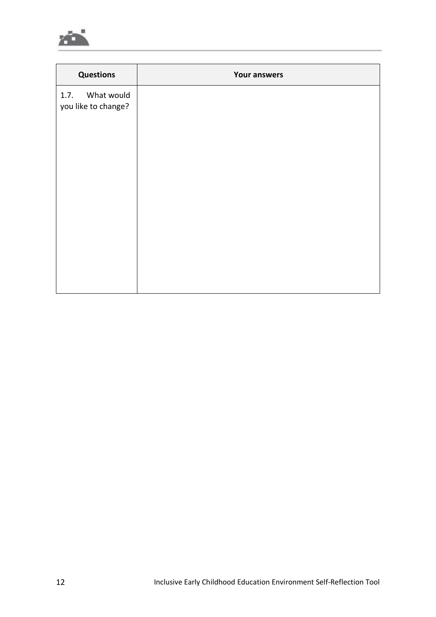

| <b>Questions</b>                          | <b>Your answers</b> |
|-------------------------------------------|---------------------|
| What would<br>1.7.<br>you like to change? |                     |
|                                           |                     |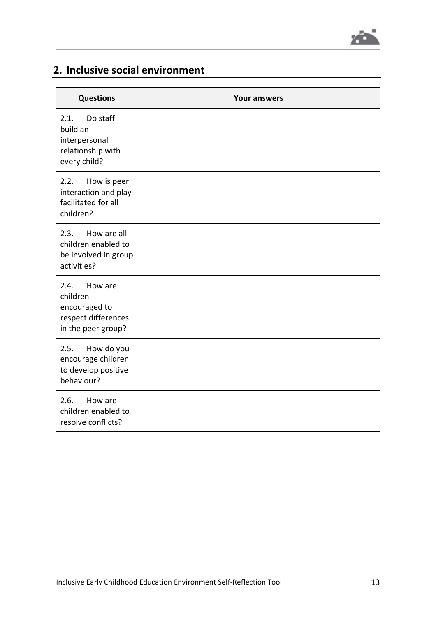

#### **2. Inclusive social environment**

| <b>Questions</b>                                                                          | <b>Your answers</b> |
|-------------------------------------------------------------------------------------------|---------------------|
| 2.1.<br>Do staff<br>build an<br>interpersonal<br>relationship with<br>every child?        |                     |
| 2.2.<br>How is peer<br>interaction and play<br>facilitated for all<br>children?           |                     |
| 2.3.<br>How are all<br>children enabled to<br>be involved in group<br>activities?         |                     |
| 2.4.<br>How are<br>children<br>encouraged to<br>respect differences<br>in the peer group? |                     |
| 2.5.<br>How do you<br>encourage children<br>to develop positive<br>behaviour?             |                     |
| 2.6.<br>How are<br>children enabled to<br>resolve conflicts?                              |                     |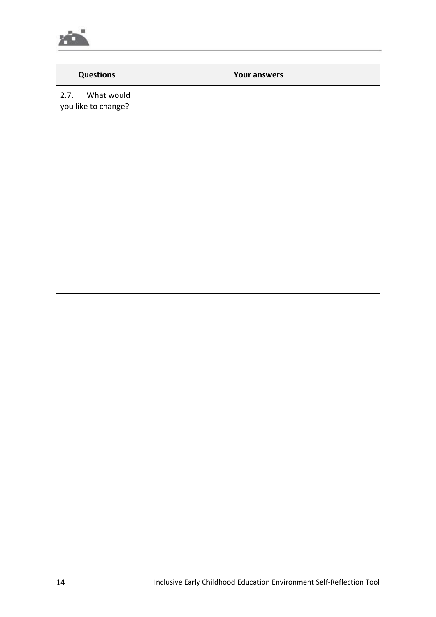

| <b>Questions</b>                          | <b>Your answers</b> |
|-------------------------------------------|---------------------|
| What would<br>2.7.<br>you like to change? |                     |
|                                           |                     |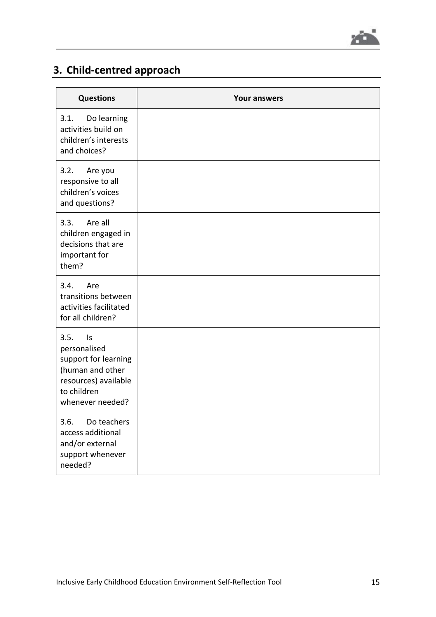

#### **3. Child-centred approach**

| <b>Questions</b>                                                                                                                         | <b>Your answers</b> |
|------------------------------------------------------------------------------------------------------------------------------------------|---------------------|
| Do learning<br>3.1.<br>activities build on<br>children's interests<br>and choices?                                                       |                     |
| 3.2.<br>Are you<br>responsive to all<br>children's voices<br>and questions?                                                              |                     |
| Are all<br>3.3.<br>children engaged in<br>decisions that are<br>important for<br>them?                                                   |                     |
| 3.4.<br>Are<br>transitions between<br>activities facilitated<br>for all children?                                                        |                     |
| 3.5.<br><b>Is</b><br>personalised<br>support for learning<br>(human and other<br>resources) available<br>to children<br>whenever needed? |                     |
| Do teachers<br>3.6.<br>access additional<br>and/or external<br>support whenever<br>needed?                                               |                     |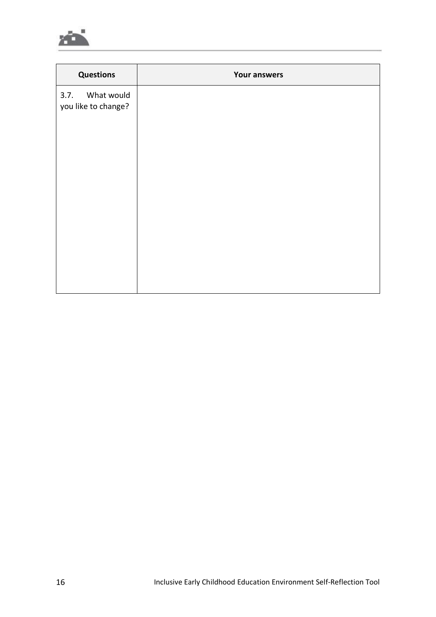

| <b>Questions</b>                          | <b>Your answers</b> |
|-------------------------------------------|---------------------|
| What would<br>3.7.<br>you like to change? |                     |
|                                           |                     |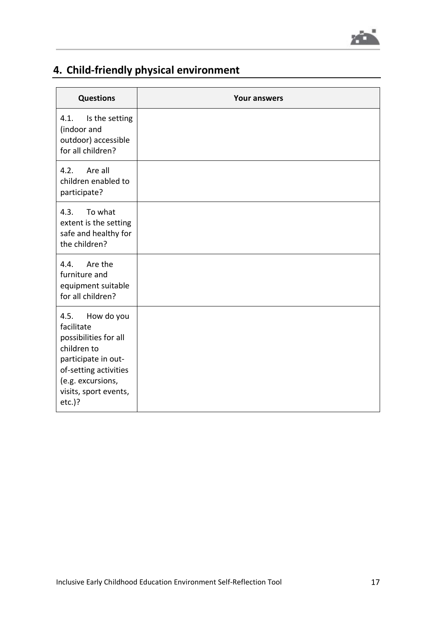

#### **4. Child-friendly physical environment**

| <b>Questions</b>                                                                                                                                                                    | <b>Your answers</b> |
|-------------------------------------------------------------------------------------------------------------------------------------------------------------------------------------|---------------------|
| 4.1.<br>Is the setting<br>(indoor and<br>outdoor) accessible<br>for all children?                                                                                                   |                     |
| 4.2.<br>Are all<br>children enabled to<br>participate?                                                                                                                              |                     |
| 4.3.<br>To what<br>extent is the setting<br>safe and healthy for<br>the children?                                                                                                   |                     |
| Are the<br>4.4.<br>furniture and<br>equipment suitable<br>for all children?                                                                                                         |                     |
| 4.5.<br>How do you<br>facilitate<br>possibilities for all<br>children to<br>participate in out-<br>of-setting activities<br>(e.g. excursions,<br>visits, sport events,<br>$etc.$ )? |                     |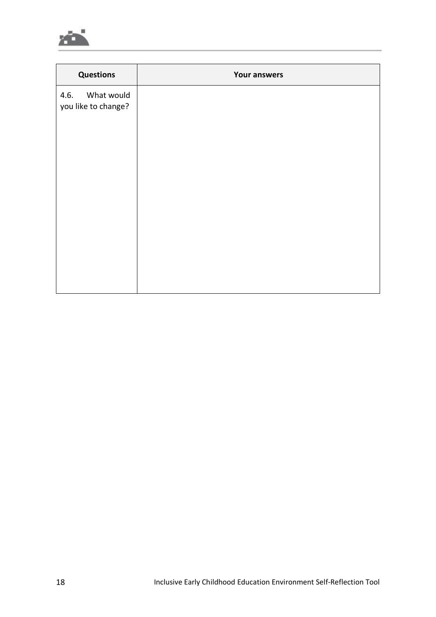

| <b>Questions</b>                          | <b>Your answers</b> |
|-------------------------------------------|---------------------|
| What would<br>4.6.<br>you like to change? |                     |
|                                           |                     |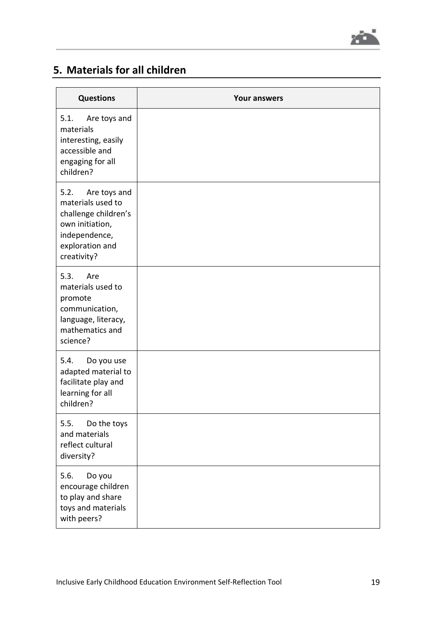

#### **5. Materials for all children**

| <b>Questions</b>                                                                                                                        | <b>Your answers</b> |
|-----------------------------------------------------------------------------------------------------------------------------------------|---------------------|
| 5.1.<br>Are toys and<br>materials<br>interesting, easily<br>accessible and<br>engaging for all<br>children?                             |                     |
| 5.2.<br>Are toys and<br>materials used to<br>challenge children's<br>own initiation,<br>independence,<br>exploration and<br>creativity? |                     |
| 5.3.<br>Are<br>materials used to<br>promote<br>communication,<br>language, literacy,<br>mathematics and<br>science?                     |                     |
| 5.4.<br>Do you use<br>adapted material to<br>facilitate play and<br>learning for all<br>children?                                       |                     |
| Do the toys<br>5.5.<br>and materials<br>reflect cultural<br>diversity?                                                                  |                     |
| 5.6.<br>Do you<br>encourage children<br>to play and share<br>toys and materials<br>with peers?                                          |                     |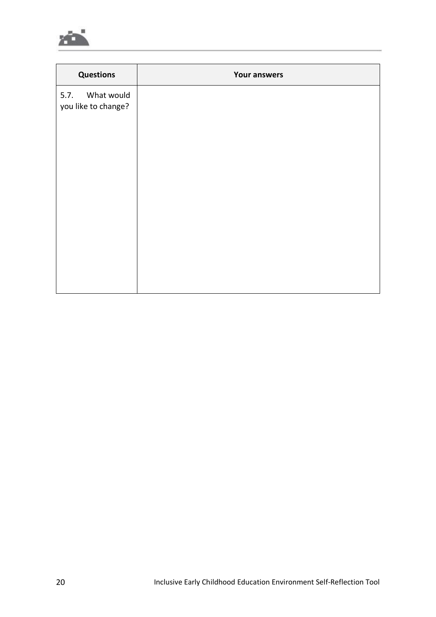

| <b>Questions</b>                          | <b>Your answers</b> |
|-------------------------------------------|---------------------|
| What would<br>5.7.<br>you like to change? |                     |
|                                           |                     |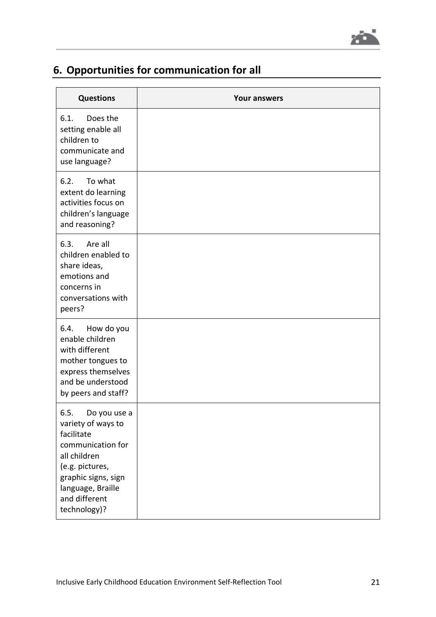

#### **6. Opportunities for communication for all**

| <b>Questions</b>                                                                                                                                                                              | <b>Your answers</b> |
|-----------------------------------------------------------------------------------------------------------------------------------------------------------------------------------------------|---------------------|
| 6.1.<br>Does the<br>setting enable all<br>children to<br>communicate and<br>use language?                                                                                                     |                     |
| To what<br>6.2.<br>extent do learning<br>activities focus on<br>children's language<br>and reasoning?                                                                                         |                     |
| 6.3.<br>Are all<br>children enabled to<br>share ideas,<br>emotions and<br>concerns in<br>conversations with<br>peers?                                                                         |                     |
| 6.4.<br>How do you<br>enable children<br>with different<br>mother tongues to<br>express themselves<br>and be understood<br>by peers and staff?                                                |                     |
| 6.5.<br>Do you use a<br>variety of ways to<br>facilitate<br>communication for<br>all children<br>(e.g. pictures,<br>graphic signs, sign<br>language, Braille<br>and different<br>technology)? |                     |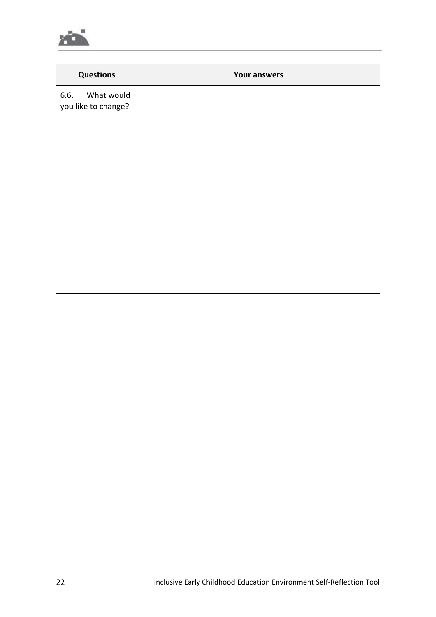

| <b>Questions</b>                          | <b>Your answers</b> |
|-------------------------------------------|---------------------|
| What would<br>6.6.<br>you like to change? |                     |
|                                           |                     |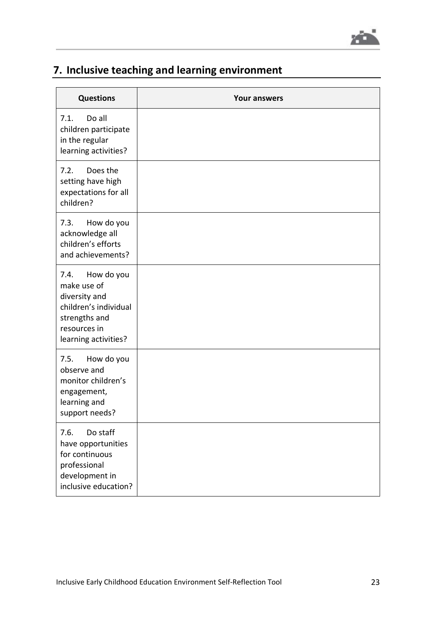

#### **7. Inclusive teaching and learning environment**

| <b>Questions</b>                                                                                                                     | <b>Your answers</b> |
|--------------------------------------------------------------------------------------------------------------------------------------|---------------------|
| 7.1.<br>Do all<br>children participate<br>in the regular<br>learning activities?                                                     |                     |
| Does the<br>7.2.<br>setting have high<br>expectations for all<br>children?                                                           |                     |
| 7.3.<br>How do you<br>acknowledge all<br>children's efforts<br>and achievements?                                                     |                     |
| 7.4.<br>How do you<br>make use of<br>diversity and<br>children's individual<br>strengths and<br>resources in<br>learning activities? |                     |
| 7.5.<br>How do you<br>observe and<br>monitor children's<br>engagement,<br>learning and<br>support needs?                             |                     |
| 7.6.<br>Do staff<br>have opportunities<br>for continuous<br>professional<br>development in<br>inclusive education?                   |                     |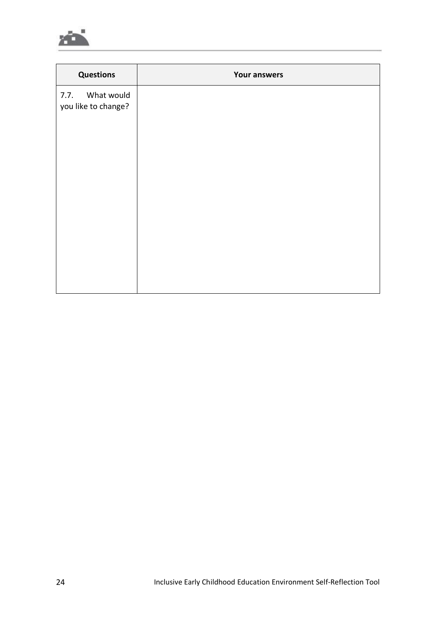

| <b>Questions</b>                          | <b>Your answers</b> |
|-------------------------------------------|---------------------|
| What would<br>7.7.<br>you like to change? |                     |
|                                           |                     |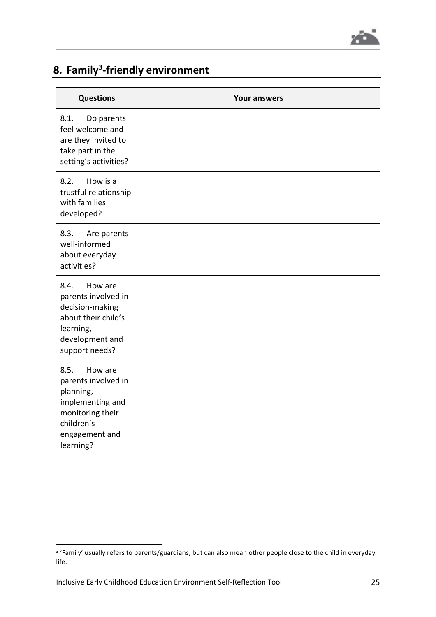

#### **8. Family<sup>3</sup> -friendly environment**

| <b>Questions</b>                                                                                                                         | <b>Your answers</b> |
|------------------------------------------------------------------------------------------------------------------------------------------|---------------------|
| 8.1.<br>Do parents<br>feel welcome and<br>are they invited to<br>take part in the<br>setting's activities?                               |                     |
| 8.2.<br>How is a<br>trustful relationship<br>with families<br>developed?                                                                 |                     |
| 8.3.<br>Are parents<br>well-informed<br>about everyday<br>activities?                                                                    |                     |
| 8.4.<br>How are<br>parents involved in<br>decision-making<br>about their child's<br>learning,<br>development and<br>support needs?       |                     |
| 8.5.<br>How are<br>parents involved in<br>planning,<br>implementing and<br>monitoring their<br>children's<br>engagement and<br>learning? |                     |

 $\overline{a}$ 

<sup>&</sup>lt;sup>3</sup> 'Family' usually refers to parents/guardians, but can also mean other people close to the child in everyday life.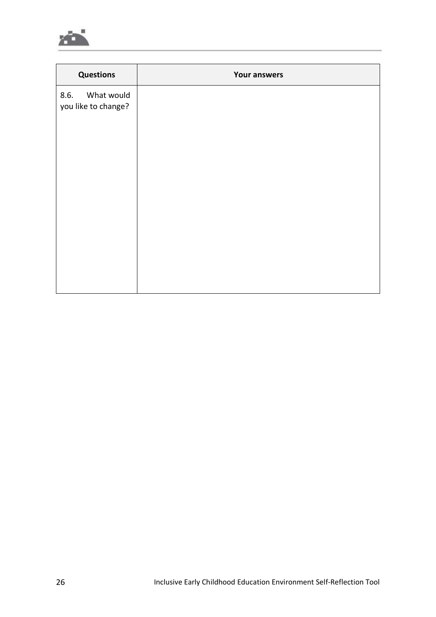

| <b>Questions</b>                          | <b>Your answers</b> |
|-------------------------------------------|---------------------|
| What would<br>8.6.<br>you like to change? |                     |
|                                           |                     |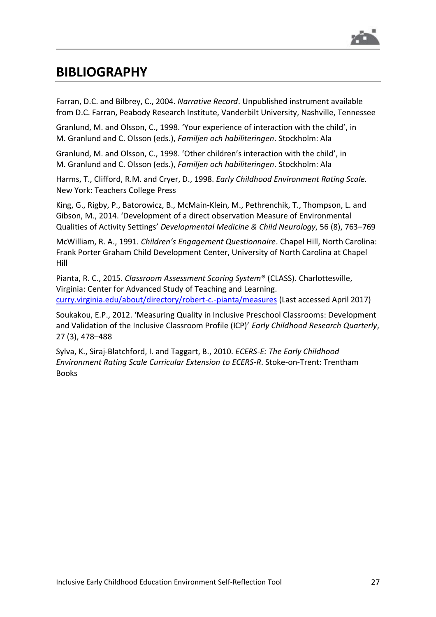

#### <span id="page-28-0"></span>**BIBLIOGRAPHY**

Farran, D.C. and Bilbrey, C., 2004. *Narrative Record*. Unpublished instrument available from D.C. Farran, Peabody Research Institute, Vanderbilt University, Nashville, Tennessee

Granlund, M. and Olsson, C., 1998. 'Your experience of interaction with the child', in M. Granlund and C. Olsson (eds.), *Familjen och habiliteringen*. Stockholm: Ala

Granlund, M. and Olsson, C., 1998. 'Other children's interaction with the child', in M. Granlund and C. Olsson (eds.), *Familjen och habiliteringen*. Stockholm: Ala

Harms, T., Clifford, R.M. and Cryer, D., 1998. *Early Childhood Environment Rating Scale.* New York: Teachers College Press

King, G., Rigby, P., Batorowicz, B., McMain-Klein, M., Pethrenchik, T., Thompson, L. and Gibson, M., 2014. 'Development of a direct observation Measure of Environmental Qualities of Activity Settings' *Developmental Medicine & Child Neurology*, 56 (8), 763–769

McWilliam, R. A., 1991. *Children's Engagement Questionnaire*. Chapel Hill, North Carolina: Frank Porter Graham Child Development Center, University of North Carolina at Chapel Hill

Pianta, R. C., 2015. *Classroom Assessment Scoring System*® (CLASS). Charlottesville, Virginia: Center for Advanced Study of Teaching and Learning. [curry.virginia.edu/about/directory/robert-c.-pianta/measures](http://curry.virginia.edu/about/directory/robert-c.-pianta/measures) (Last accessed April 2017)

Soukakou, E.P., 2012. 'Measuring Quality in Inclusive Preschool Classrooms: Development and Validation of the Inclusive Classroom Profile (ICP)' *Early Childhood Research Quarterly*, 27 (3), 478–488

Sylva, K., Siraj-Blatchford, I. and Taggart, B., 2010. *ECERS-E: The Early Childhood Environment Rating Scale Curricular Extension to ECERS-R*. Stoke-on-Trent: Trentham Books